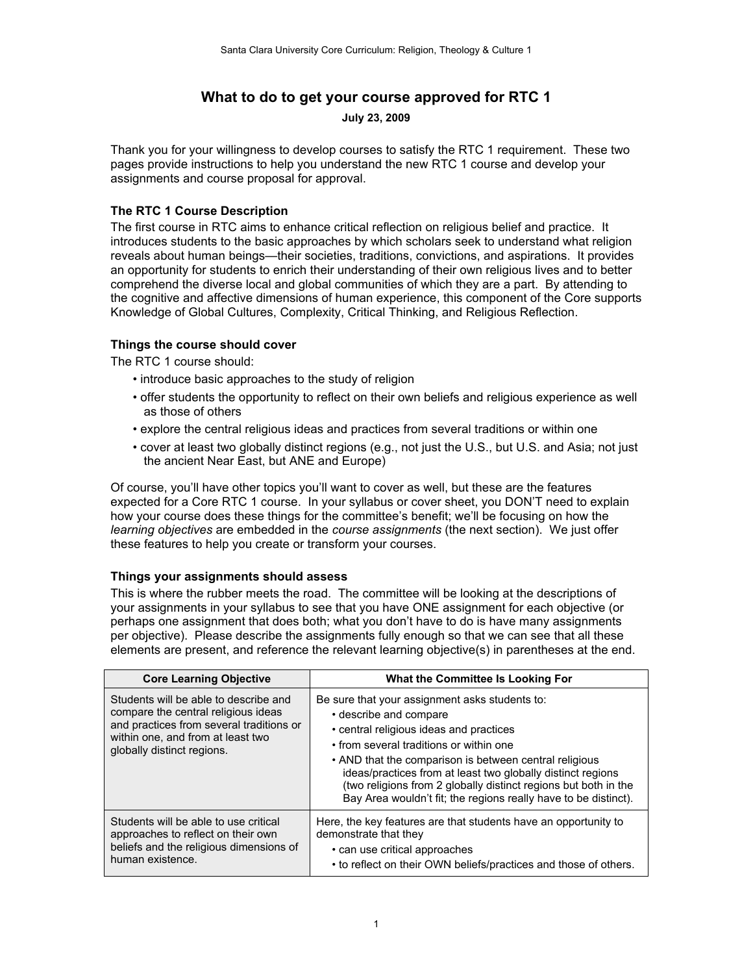# **What to do to get your course approved for RTC 1**

**July 23, 2009**

Thank you for your willingness to develop courses to satisfy the RTC 1 requirement. These two pages provide instructions to help you understand the new RTC 1 course and develop your assignments and course proposal for approval.

## **The RTC 1 Course Description**

The first course in RTC aims to enhance critical reflection on religious belief and practice. It introduces students to the basic approaches by which scholars seek to understand what religion reveals about human beings—their societies, traditions, convictions, and aspirations. It provides an opportunity for students to enrich their understanding of their own religious lives and to better comprehend the diverse local and global communities of which they are a part. By attending to the cognitive and affective dimensions of human experience, this component of the Core supports Knowledge of Global Cultures, Complexity, Critical Thinking, and Religious Reflection.

### **Things the course should cover**

The RTC 1 course should:

- introduce basic approaches to the study of religion
- offer students the opportunity to reflect on their own beliefs and religious experience as well as those of others
- explore the central religious ideas and practices from several traditions or within one
- cover at least two globally distinct regions (e.g., not just the U.S., but U.S. and Asia; not just the ancient Near East, but ANE and Europe)

Of course, you'll have other topics you'll want to cover as well, but these are the features expected for a Core RTC 1 course. In your syllabus or cover sheet, you DON'T need to explain how your course does these things for the committee's benefit; we'll be focusing on how the *learning objectives* are embedded in the *course assignments* (the next section). We just offer these features to help you create or transform your courses.

### **Things your assignments should assess**

This is where the rubber meets the road. The committee will be looking at the descriptions of your assignments in your syllabus to see that you have ONE assignment for each objective (or perhaps one assignment that does both; what you don't have to do is have many assignments per objective). Please describe the assignments fully enough so that we can see that all these elements are present, and reference the relevant learning objective(s) in parentheses at the end.

| <b>Core Learning Objective</b>                                                                                                                                                              | What the Committee Is Looking For                                                                                                                                                                                                                                                                                                                                                                                             |
|---------------------------------------------------------------------------------------------------------------------------------------------------------------------------------------------|-------------------------------------------------------------------------------------------------------------------------------------------------------------------------------------------------------------------------------------------------------------------------------------------------------------------------------------------------------------------------------------------------------------------------------|
| Students will be able to describe and<br>compare the central religious ideas<br>and practices from several traditions or<br>within one, and from at least two<br>globally distinct regions. | Be sure that your assignment asks students to:<br>• describe and compare<br>• central religious ideas and practices<br>• from several traditions or within one<br>• AND that the comparison is between central religious<br>ideas/practices from at least two globally distinct regions<br>(two religions from 2 globally distinct regions but both in the<br>Bay Area wouldn't fit; the regions really have to be distinct). |
| Students will be able to use critical<br>approaches to reflect on their own<br>beliefs and the religious dimensions of<br>human existence.                                                  | Here, the key features are that students have an opportunity to<br>demonstrate that they<br>• can use critical approaches<br>• to reflect on their OWN beliefs/practices and those of others.                                                                                                                                                                                                                                 |